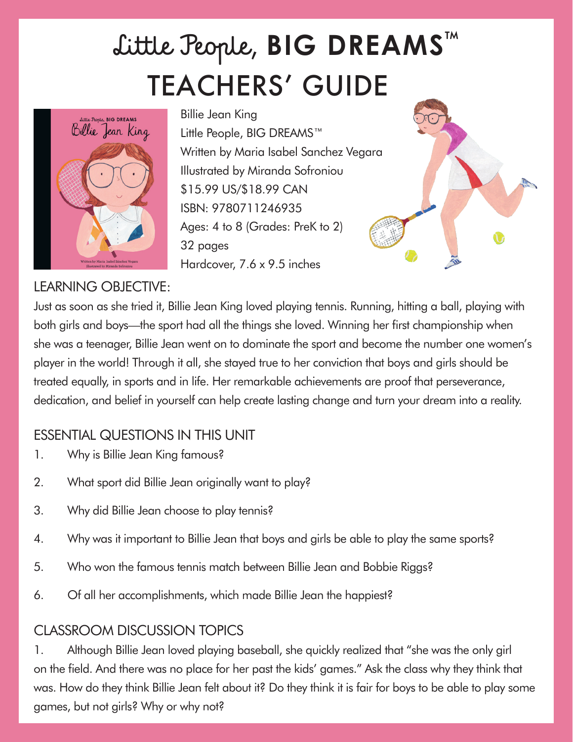# TEACHERS' GUIDE Little People, **BIG DREAMS**™



Billie Jean King Little People, BIG DREAMS™ Written by Maria Isabel Sanchez Vegara Illustrated by Miranda Sofroniou \$15.99 US/\$18.99 CAN ISBN: 9780711246935 Ages: 4 to 8 (Grades: PreK to 2) 32 pages Hardcover, 7.6 x 9.5 inches



## LEARNING OBJECTIVE:

Just as soon as she tried it, Billie Jean King loved playing tennis. Running, hitting a ball, playing with both girls and boys—the sport had all the things she loved. Winning her first championship when she was a teenager, Billie Jean went on to dominate the sport and become the number one women's player in the world! Through it all, she stayed true to her conviction that boys and girls should be treated equally, in sports and in life. Her remarkable achievements are proof that perseverance, dedication, and belief in yourself can help create lasting change and turn your dream into a reality.

#### ESSENTIAL QUESTIONS IN THIS UNIT

- 1. Why is Billie Jean King famous?
- 2. What sport did Billie Jean originally want to play?
- 3. Why did Billie Jean choose to play tennis?
- 4. Why was it important to Billie Jean that boys and girls be able to play the same sports?
- 5. Who won the famous tennis match between Billie Jean and Bobbie Riggs?
- 6. Of all her accomplishments, which made Billie Jean the happiest?

# CLASSROOM DISCUSSION TOPICS

1. Although Billie Jean loved playing baseball, she quickly realized that "she was the only girl on the field. And there was no place for her past the kids' games." Ask the class why they think that was. How do they think Billie Jean felt about it? Do they think it is fair for boys to be able to play some games, but not girls? Why or why not?